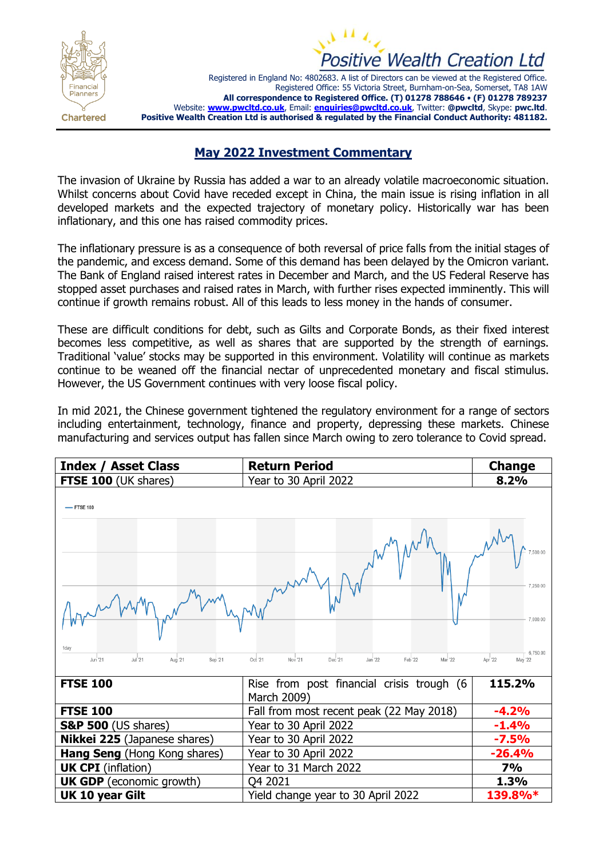



Registered in England No: 4802683. A list of Directors can be viewed at the Registered Office. Registered Office: 55 Victoria Street, Burnham-on-Sea, Somerset, TA8 1AW **All correspondence to Registered Office. (T) 01278 788646** • **(F) 01278 789237** Website: **[www.pwcltd.co.uk](http://www.pwcltd.co.uk/)**, Email: **[enquiries@pwcltd.co.uk](mailto:enquiries@pwcltd.co.uk)**, Twitter: **@pwcltd**, Skype: **pwc.ltd**. **Positive Wealth Creation Ltd is authorised & regulated by the Financial Conduct Authority: 481182.**

## **May 2022 Investment Commentary**

The invasion of Ukraine by Russia has added a war to an already volatile macroeconomic situation. Whilst concerns about Covid have receded except in China, the main issue is rising inflation in all developed markets and the expected trajectory of monetary policy. Historically war has been inflationary, and this one has raised commodity prices.

The inflationary pressure is as a consequence of both reversal of price falls from the initial stages of the pandemic, and excess demand. Some of this demand has been delayed by the Omicron variant. The Bank of England raised interest rates in December and March, and the US Federal Reserve has stopped asset purchases and raised rates in March, with further rises expected imminently. This will continue if growth remains robust. All of this leads to less money in the hands of consumer.

These are difficult conditions for debt, such as Gilts and Corporate Bonds, as their fixed interest becomes less competitive, as well as shares that are supported by the strength of earnings. Traditional 'value' stocks may be supported in this environment. Volatility will continue as markets continue to be weaned off the financial nectar of unprecedented monetary and fiscal stimulus. However, the US Government continues with very loose fiscal policy.

In mid 2021, the Chinese government tightened the regulatory environment for a range of sectors including entertainment, technology, finance and property, depressing these markets. Chinese manufacturing and services output has fallen since March owing to zero tolerance to Covid spread.

| <b>Index / Asset Class</b>                    | <b>Return Period</b>                                           | <b>Change</b>                              |
|-----------------------------------------------|----------------------------------------------------------------|--------------------------------------------|
| <b>FTSE 100 (UK shares)</b>                   | Year to 30 April 2022                                          | 8.2%                                       |
| -FTSE 100                                     |                                                                | 7.500.00<br>7,250.00                       |
| 1dav<br>Jun 21<br>Jul'21<br>Aug '21<br>Sep 21 | Oct '21<br>Nov '21<br>Jan '22<br>Feb '22<br>Mar '22<br>Dec '21 | 7.000.00<br>6,750.00<br>Apr '22<br>May '22 |
| <b>FTSE 100</b>                               | Rise from post financial crisis trough (6<br>March 2009)       | 115.2%                                     |
| <b>FTSE 100</b>                               | Fall from most recent peak (22 May 2018)                       | $-4.2%$                                    |
| <b>S&amp;P 500</b> (US shares)                | Year to 30 April 2022                                          | $-1.4%$                                    |
| <b>Nikkei 225</b> (Japanese shares)           | Year to 30 April 2022                                          | $-7.5%$                                    |
| Hang Seng (Hong Kong shares)                  | Year to 30 April 2022                                          | $-26.4%$                                   |
| <b>UK CPI</b> (inflation)                     | Year to 31 March 2022                                          | <b>7%</b>                                  |
| <b>UK GDP</b> (economic growth)               | Q4 2021                                                        | 1.3%                                       |
| <b>UK 10 year Gilt</b>                        | Yield change year to 30 April 2022                             | 139.8%*                                    |